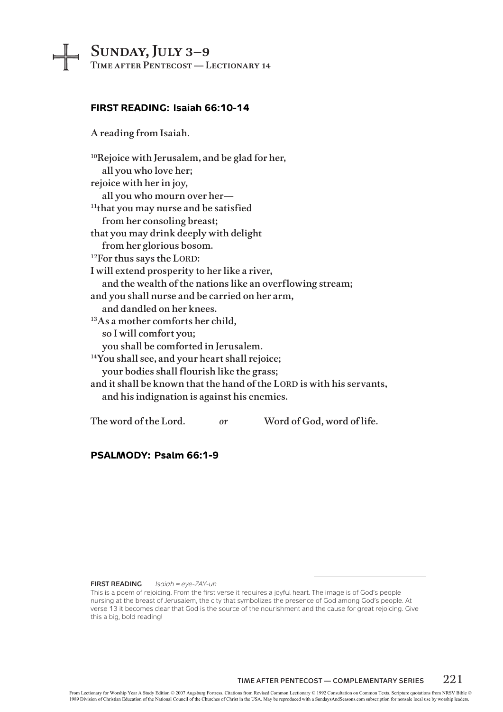# Sunday, July 3–9

Time after Pentecost — Lectionary 14

# **FIRST READING: Isaiah 66:10-14**

A reading from Isaiah.

10Rejoice with Jerusalem, and be glad for her, all you who love her; rejoice with her in joy, all you who mourn over her— <sup>11</sup>that you may nurse and be satisfied from her consoling breast; that you may drink deeply with delight from her glorious bosom. <sup>12</sup>For thus says the LORD: I will extend prosperity to her like a river, and the wealth of the nations like an overflowing stream; and you shall nurse and be carried on her arm, and dandled on her knees. 13As a mother comforts her child, so I will comfort you; you shall be comforted in Jerusalem. <sup>14</sup>You shall see, and your heart shall rejoice; your bodies shall flourish like the grass; and it shall be known that the hand of the LORD is with his servants, and his indignation is against his enemies. The word of the Lord. *or* Word of God, word of life.

### **PSALMODY: Psalm 66:1-9**

### **First Reading** *Isaiah = eye-ZAY-uh*

This is a poem of rejoicing. From the first verse it requires a joyful heart. The image is of God's people nursing at the breast of Jerusalem, the city that symbolizes the presence of God among God's people. At verse 13 it becomes clear that God is the source of the nourishment and the cause for great rejoicing. Give this a big, bold reading!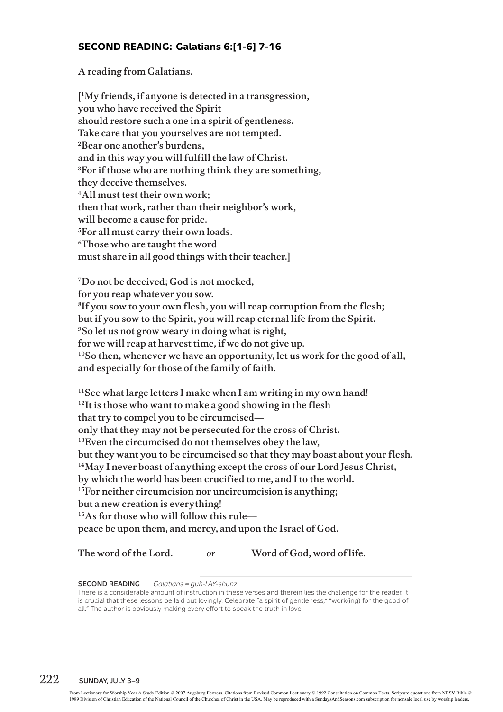# **SECOND READING: Galatians 6:[1-6] 7-16**

A reading from Galatians.

[ 1My friends, if anyone is detected in a transgression, you who have received the Spirit should restore such a one in a spirit of gentleness. Take care that you yourselves are not tempted. 2Bear one another's burdens, and in this way you will fulfill the law of Christ. 3For if those who are nothing think they are something, they deceive themselves. 4All must test their own work; then that work, rather than their neighbor's work, will become a cause for pride. 5For all must carry their own loads. 6Those who are taught the word must share in all good things with their teacher.]

7Do not be deceived; God is not mocked, for you reap whatever you sow. 8If you sow to your own flesh, you will reap corruption from the flesh; but if you sow to the Spirit, you will reap eternal life from the Spirit. 9So let us not grow weary in doing what is right, for we will reap at harvest time, if we do not give up. <sup>10</sup>So then, whenever we have an opportunity, let us work for the good of all, and especially for those of the family of faith.

11See what large letters I make when I am writing in my own hand!  $12$ It is those who want to make a good showing in the flesh that try to compel you to be circumcised only that they may not be persecuted for the cross of Christ. <sup>13</sup>Even the circumcised do not themselves obey the law, but they want you to be circumcised so that they may boast about your flesh. <sup>14</sup>May I never boast of anything except the cross of our Lord Jesus Christ, by which the world has been crucified to me, and I to the world. <sup>15</sup>For neither circumcision nor uncircumcision is anything; but a new creation is everything! 16As for those who will follow this rule peace be upon them, and mercy, and upon the Israel of God.

The word of the Lord. *or* Word of God, word of life.

### **Second Reading** *Galatians = guh-LAY-shunz*

There is a considerable amount of instruction in these verses and therein lies the challenge for the reader. It is crucial that these lessons be laid out lovingly. Celebrate "a spirit of gentleness," "work(ing) for the good of all." The author is obviously making every effort to speak the truth in love.